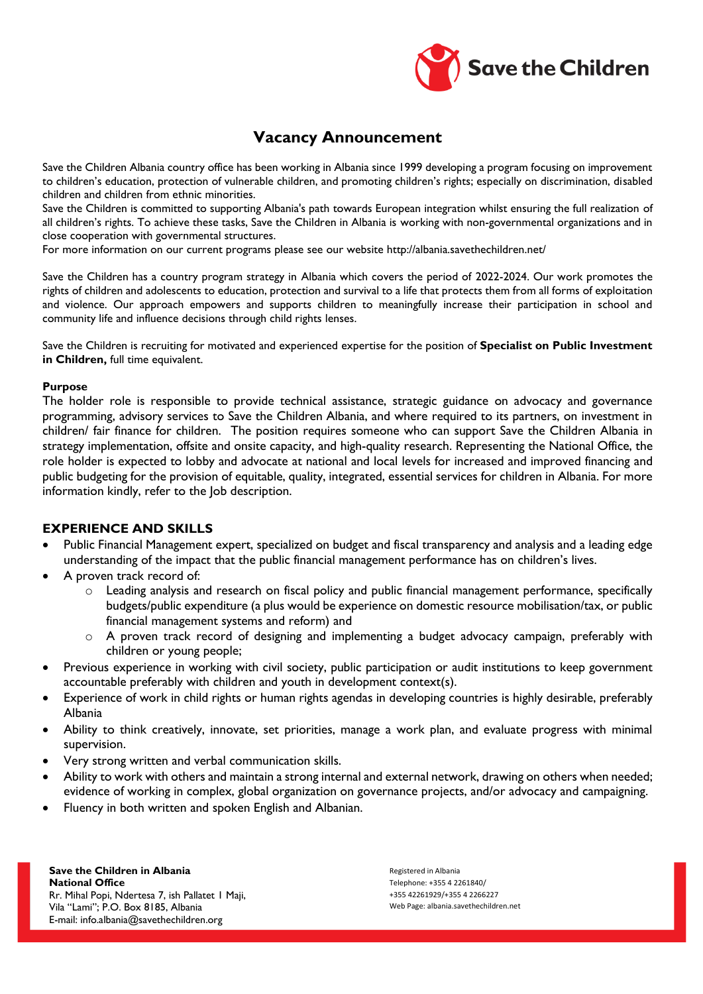

# **Vacancy Announcement**

Save the Children Albania country office has been working in Albania since 1999 developing a program focusing on improvement to children's education, protection of vulnerable children, and promoting children's rights; especially on discrimination, disabled children and children from ethnic minorities.

Save the Children is committed to supporting Albania's path towards European integration whilst ensuring the full realization of all children's rights. To achieve these tasks, Save the Children in Albania is working with non-governmental organizations and in close cooperation with governmental structures.

For more information on our current programs please see our website http://albania.savethechildren.net/

Save the Children has a country program strategy in Albania which covers the period of 2022-2024. Our work promotes the rights of children and adolescents to education, protection and survival to a life that protects them from all forms of exploitation and violence. Our approach empowers and supports children to meaningfully increase their participation in school and community life and influence decisions through child rights lenses.

Save the Children is recruiting for motivated and experienced expertise for the position of **Specialist on Public Investment in Children,** full time equivalent.

#### **Purpose**

The holder role is responsible to provide technical assistance, strategic guidance on advocacy and governance programming, advisory services to Save the Children Albania, and where required to its partners, on investment in children/ fair finance for children. The position requires someone who can support Save the Children Albania in strategy implementation, offsite and onsite capacity, and high-quality research. Representing the National Office, the role holder is expected to lobby and advocate at national and local levels for increased and improved financing and public budgeting for the provision of equitable, quality, integrated, essential services for children in Albania. For more information kindly, refer to the Job description.

# **EXPERIENCE AND SKILLS**

- Public Financial Management expert, specialized on budget and fiscal transparency and analysis and a leading edge understanding of the impact that the public financial management performance has on children's lives.
- A proven track record of:
	- o Leading analysis and research on fiscal policy and public financial management performance, specifically budgets/public expenditure (a plus would be experience on domestic resource mobilisation/tax, or public financial management systems and reform) and
	- $\circ$  A proven track record of designing and implementing a budget advocacy campaign, preferably with children or young people;
- Previous experience in working with civil society, public participation or audit institutions to keep government accountable preferably with children and youth in development context(s).
- Experience of work in child rights or human rights agendas in developing countries is highly desirable, preferably Albania
- Ability to think creatively, innovate, set priorities, manage a work plan, and evaluate progress with minimal supervision.
- Very strong written and verbal communication skills.
- Ability to work with others and maintain a strong internal and external network, drawing on others when needed; evidence of working in complex, global organization on governance projects, and/or advocacy and campaigning.
- Fluency in both written and spoken English and Albanian.

**Save the Children in Albania National Office**  Rr. Mihal Popi, Ndertesa 7, ish Pallatet 1 Maji, Vila "Lami"; P.O. Box 8185, Albania E-mail: [info.albania@savethechildren.org](mailto:info.albania@savethechildren.org)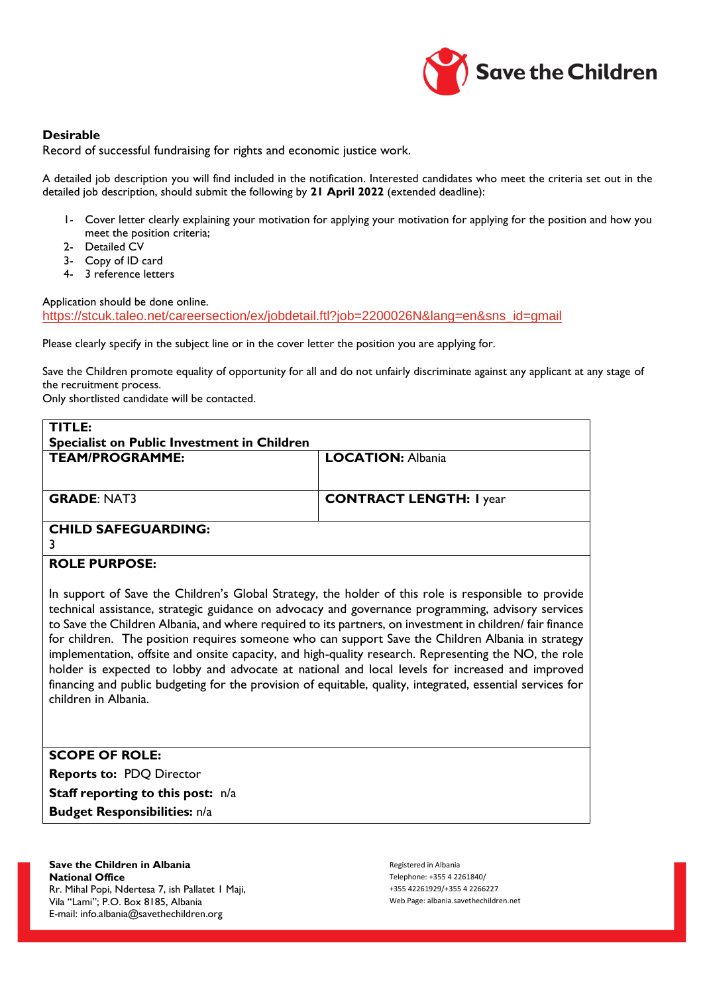

#### **Desirable**

Record of successful fundraising for rights and economic justice work.

A detailed job description you will find included in the notification. Interested candidates who meet the criteria set out in the detailed job description, should submit the following by **21 April 2022** (extended deadline):

- 1- Cover letter clearly explaining your motivation for applying your motivation for applying for the position and how you meet the position criteria;
- 2- Detailed CV
- 3- Copy of ID card
- 4- 3 reference letters

Application should be done online.

[https://stcuk.taleo.net/careersection/ex/jobdetail.ftl?job=2200026N&lang=en&sns\\_id=gmail](https://stcuk.taleo.net/careersection/ex/jobdetail.ftl?job=2200026N&lang=en&sns_id=gmail)

Please clearly specify in the subject line or in the cover letter the position you are applying for.

Save the Children promote equality of opportunity for all and do not unfairly discriminate against any applicant at any stage of the recruitment process.

Only shortlisted candidate will be contacted.

| TITLE:                                      |                                |
|---------------------------------------------|--------------------------------|
| Specialist on Public Investment in Children |                                |
| <b>TEAM/PROGRAMME:</b>                      | <b>LOCATION: Albania</b>       |
|                                             |                                |
|                                             |                                |
| <b>GRADE: NAT3</b>                          | <b>CONTRACT LENGTH: I year</b> |
|                                             |                                |
| <b>CHILD SAFEGUARDING:</b>                  |                                |
|                                             |                                |
|                                             |                                |

#### **ROLE PURPOSE:**

In support of Save the Children's Global Strategy, the holder of this role is responsible to provide technical assistance, strategic guidance on advocacy and governance programming, advisory services to Save the Children Albania, and where required to its partners, on investment in children/ fair finance for children. The position requires someone who can support Save the Children Albania in strategy implementation, offsite and onsite capacity, and high-quality research. Representing the NO, the role holder is expected to lobby and advocate at national and local levels for increased and improved financing and public budgeting for the provision of equitable, quality, integrated, essential services for children in Albania.

**SCOPE OF ROLE: Reports to:** PDQ Director **Staff reporting to this post:** n/a **Budget Responsibilities:** n/a

**Save the Children in Albania National Office**  Rr. Mihal Popi, Ndertesa 7, ish Pallatet 1 Maji, Vila "Lami"; P.O. Box 8185, Albania E-mail: [info.albania@savethechildren.org](mailto:info.albania@savethechildren.org)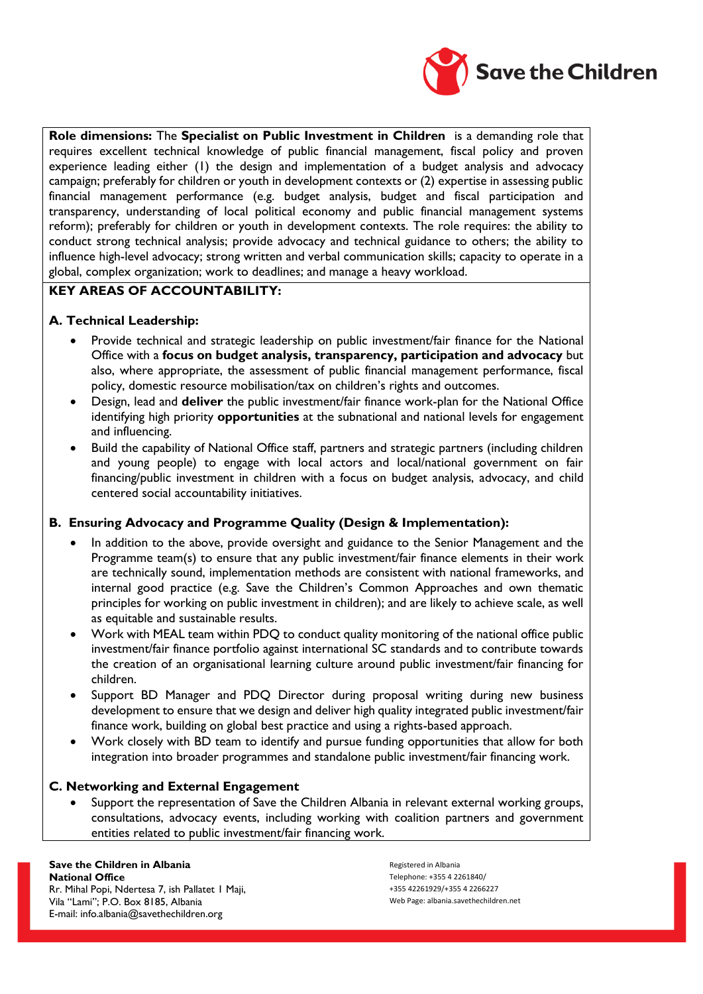

**Role dimensions:** The **Specialist on Public Investment in Children** is a demanding role that requires excellent technical knowledge of public financial management, fiscal policy and proven experience leading either (1) the design and implementation of a budget analysis and advocacy campaign; preferably for children or youth in development contexts or (2) expertise in assessing public financial management performance (e.g. budget analysis, budget and fiscal participation and transparency, understanding of local political economy and public financial management systems reform); preferably for children or youth in development contexts. The role requires: the ability to conduct strong technical analysis; provide advocacy and technical guidance to others; the ability to influence high-level advocacy; strong written and verbal communication skills; capacity to operate in a global, complex organization; work to deadlines; and manage a heavy workload.

# **KEY AREAS OF ACCOUNTABILITY:**

# **A. Technical Leadership:**

- Provide technical and strategic leadership on public investment/fair finance for the National Office with a **focus on budget analysis, transparency, participation and advocacy** but also, where appropriate, the assessment of public financial management performance, fiscal policy, domestic resource mobilisation/tax on children's rights and outcomes.
- Design, lead and **deliver** the public investment/fair finance work-plan for the National Office identifying high priority **opportunities** at the subnational and national levels for engagement and influencing.
- Build the capability of National Office staff, partners and strategic partners (including children and young people) to engage with local actors and local/national government on fair financing/public investment in children with a focus on budget analysis, advocacy, and child centered social accountability initiatives.

# **B. Ensuring Advocacy and Programme Quality (Design & Implementation):**

- In addition to the above, provide oversight and guidance to the Senior Management and the Programme team(s) to ensure that any public investment/fair finance elements in their work are technically sound, implementation methods are consistent with national frameworks, and internal good practice (e.g. Save the Children's Common Approaches and own thematic principles for working on public investment in children); and are likely to achieve scale, as well as equitable and sustainable results.
- Work with MEAL team within PDQ to conduct quality monitoring of the national office public investment/fair finance portfolio against international SC standards and to contribute towards the creation of an organisational learning culture around public investment/fair financing for children.
- Support BD Manager and PDQ Director during proposal writing during new business development to ensure that we design and deliver high quality integrated public investment/fair finance work, building on global best practice and using a rights-based approach.
- Work closely with BD team to identify and pursue funding opportunities that allow for both integration into broader programmes and standalone public investment/fair financing work.

# **C. Networking and External Engagement**

Support the representation of Save the Children Albania in relevant external working groups, consultations, advocacy events, including working with coalition partners and government entities related to public investment/fair financing work.

# **Save the Children in Albania National Office**

Rr. Mihal Popi, Ndertesa 7, ish Pallatet 1 Maji, Vila "Lami"; P.O. Box 8185, Albania E-mail: [info.albania@savethechildren.org](mailto:info.albania@savethechildren.org)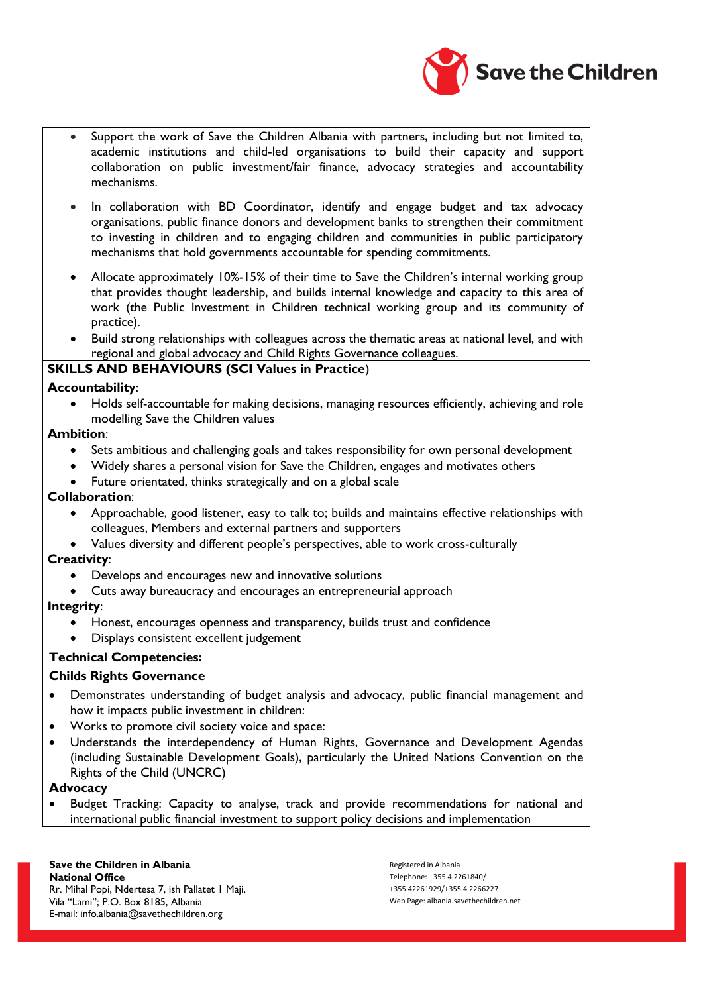

- Support the work of Save the Children Albania with partners, including but not limited to, academic institutions and child-led organisations to build their capacity and support collaboration on public investment/fair finance, advocacy strategies and accountability mechanisms.
- In collaboration with BD Coordinator, identify and engage budget and tax advocacy organisations, public finance donors and development banks to strengthen their commitment to investing in children and to engaging children and communities in public participatory mechanisms that hold governments accountable for spending commitments.
- Allocate approximately 10%-15% of their time to Save the Children's internal working group that provides thought leadership, and builds internal knowledge and capacity to this area of work (the Public Investment in Children technical working group and its community of practice).
- Build strong relationships with colleagues across the thematic areas at national level, and with regional and global advocacy and Child Rights Governance colleagues.

## **SKILLS AND BEHAVIOURS (SCI Values in Practice**)

## **Accountability**:

• Holds self-accountable for making decisions, managing resources efficiently, achieving and role modelling Save the Children values

## **Ambition**:

- Sets ambitious and challenging goals and takes responsibility for own personal development
- Widely shares a personal vision for Save the Children, engages and motivates others
- Future orientated, thinks strategically and on a global scale

## **Collaboration**:

- Approachable, good listener, easy to talk to; builds and maintains effective relationships with colleagues, Members and external partners and supporters
- Values diversity and different people's perspectives, able to work cross-culturally

#### **Creativity**:

- Develops and encourages new and innovative solutions
- Cuts away bureaucracy and encourages an entrepreneurial approach

# **Integrity**:

- Honest, encourages openness and transparency, builds trust and confidence
- Displays consistent excellent judgement

# **Technical Competencies:**

# **Childs Rights Governance**

- Demonstrates understanding of budget analysis and advocacy, public financial management and how it impacts public investment in children:
- Works to promote civil society voice and space:
- Understands the interdependency of Human Rights, Governance and Development Agendas (including Sustainable Development Goals), particularly the United Nations Convention on the Rights of the Child (UNCRC)

#### **Advocacy**

• Budget Tracking: Capacity to analyse, track and provide recommendations for national and international public financial investment to support policy decisions and implementation

# **Save the Children in Albania National Office**

Rr. Mihal Popi, Ndertesa 7, ish Pallatet 1 Maji, Vila "Lami"; P.O. Box 8185, Albania E-mail: [info.albania@savethechildren.org](mailto:info.albania@savethechildren.org)